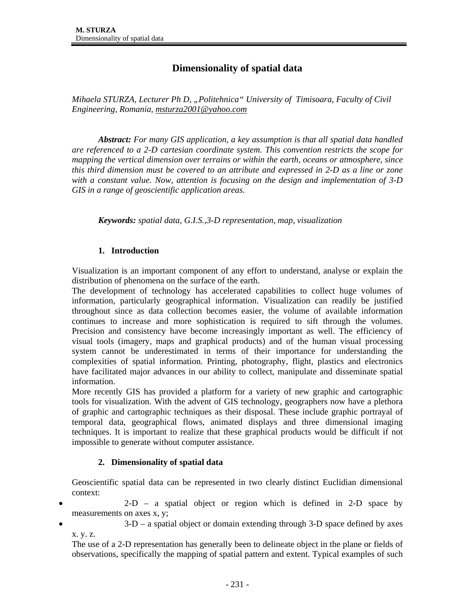# **Dimensionality of spatial data**

*Mihaela STURZA, Lecturer Ph D, "Politehnica" University of Timisoara, Faculty of Civil Engineering, Romania, msturza2001@yahoo.com*

*Abstract: For many GIS application, a key assumption is that all spatial data handled are referenced to a 2-D cartesian coordinate system. This convention restricts the scope for mapping the vertical dimension over terrains or within the earth, oceans or atmosphere, since this third dimension must be covered to an attribute and expressed in 2-D as a line or zone with a constant value. Now, attention is focusing on the design and implementation of 3-D GIS in a range of geoscientific application areas.* 

*Keywords: spatial data, G.I.S.,3-D representation, map, visualization* 

#### **1. Introduction**

Visualization is an important component of any effort to understand, analyse or explain the distribution of phenomena on the surface of the earth.

The development of technology has accelerated capabilities to collect huge volumes of information, particularly geographical information. Visualization can readily be justified throughout since as data collection becomes easier, the volume of available information continues to increase and more sophistication is required to sift through the volumes. Precision and consistency have become increasingly important as well. The efficiency of visual tools (imagery, maps and graphical products) and of the human visual processing system cannot be underestimated in terms of their importance for understanding the complexities of spatial information. Printing, photography, flight, plastics and electronics have facilitated major advances in our ability to collect, manipulate and disseminate spatial information.

More recently GIS has provided a platform for a variety of new graphic and cartographic tools for visualization. With the advent of GIS technology, geographers now have a plethora of graphic and cartographic techniques as their disposal. These include graphic portrayal of temporal data, geographical flows, animated displays and three dimensional imaging techniques. It is important to realize that these graphical products would be difficult if not impossible to generate without computer assistance.

# **2. Dimensionality of spatial data**

Geoscientific spatial data can be represented in two clearly distinct Euclidian dimensional context:

- 2-D a spatial object or region which is defined in 2-D space by measurements on axes x, y;
- $3-D$  a spatial object or domain extending through  $3-D$  space defined by axes x. y. z.

The use of a 2-D representation has generally been to delineate object in the plane or fields of observations, specifically the mapping of spatial pattern and extent. Typical examples of such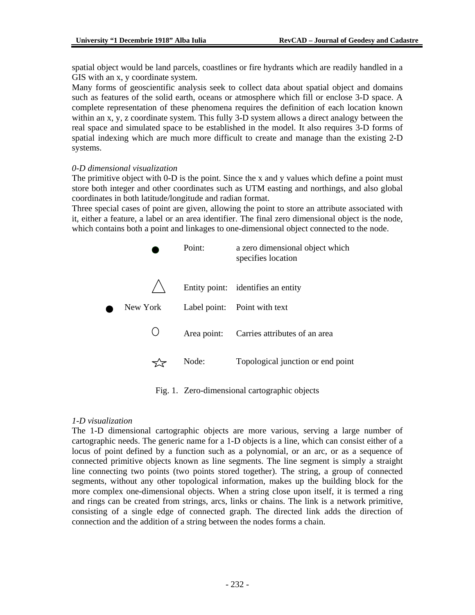spatial object would be land parcels, coastlines or fire hydrants which are readily handled in a GIS with an x, y coordinate system.

Many forms of geoscientific analysis seek to collect data about spatial object and domains such as features of the solid earth, oceans or atmosphere which fill or enclose 3-D space. A complete representation of these phenomena requires the definition of each location known within an x, y, z coordinate system. This fully 3-D system allows a direct analogy between the real space and simulated space to be established in the model. It also requires 3-D forms of spatial indexing which are much more difficult to create and manage than the existing 2-D systems.

#### *0-D dimensional visualization*

The primitive object with 0-D is the point. Since the x and y values which define a point must store both integer and other coordinates such as UTM easting and northings, and also global coordinates in both latitude/longitude and radian format.

Three special cases of point are given, allowing the point to store an attribute associated with it, either a feature, a label or an area identifier. The final zero dimensional object is the node, which contains both a point and linkages to one-dimensional object connected to the node.

|          | Point:      | a zero dimensional object which<br>specifies location |
|----------|-------------|-------------------------------------------------------|
|          |             | Entity point: identifies an entity                    |
| New York |             | Label point: Point with text                          |
|          | Area point: | Carries attributes of an area                         |
|          | Node:       | Topological junction or end point                     |

Fig. 1. Zero-dimensional cartographic objects

#### *1-D visualization*

The 1-D dimensional cartographic objects are more various, serving a large number of cartographic needs. The generic name for a 1-D objects is a line, which can consist either of a locus of point defined by a function such as a polynomial, or an arc, or as a sequence of connected primitive objects known as line segments. The line segment is simply a straight line connecting two points (two points stored together). The string, a group of connected segments, without any other topological information, makes up the building block for the more complex one-dimensional objects. When a string close upon itself, it is termed a ring and rings can be created from strings, arcs, links or chains. The link is a network primitive, consisting of a single edge of connected graph. The directed link adds the direction of connection and the addition of a string between the nodes forms a chain.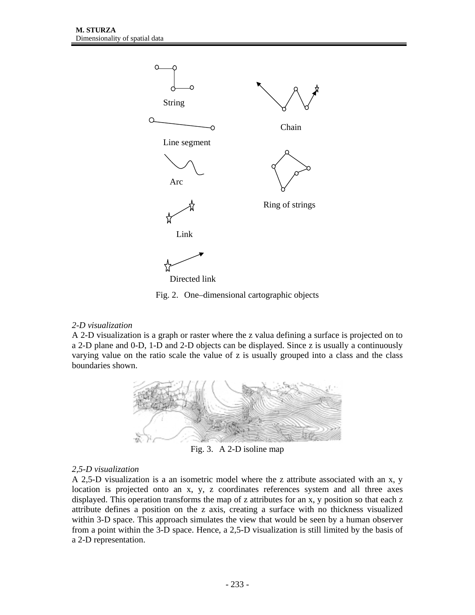

Fig. 2. One–dimensional cartographic objects

# *2-D visualization*

A 2-D visualization is a graph or raster where the z valua defining a surface is projected on to a 2-D plane and 0-D, 1-D and 2-D objects can be displayed. Since z is usually a continuously varying value on the ratio scale the value of z is usually grouped into a class and the class boundaries shown.



Fig. 3. A 2-D isoline map

# *2,5-D visualization*

A 2,5-D visualization is a an isometric model where the z attribute associated with an x, y location is projected onto an x, y, z coordinates references system and all three axes displayed. This operation transforms the map of z attributes for an x, y position so that each z attribute defines a position on the z axis, creating a surface with no thickness visualized within 3-D space. This approach simulates the view that would be seen by a human observer from a point within the 3-D space. Hence, a 2,5-D visualization is still limited by the basis of a 2-D representation.